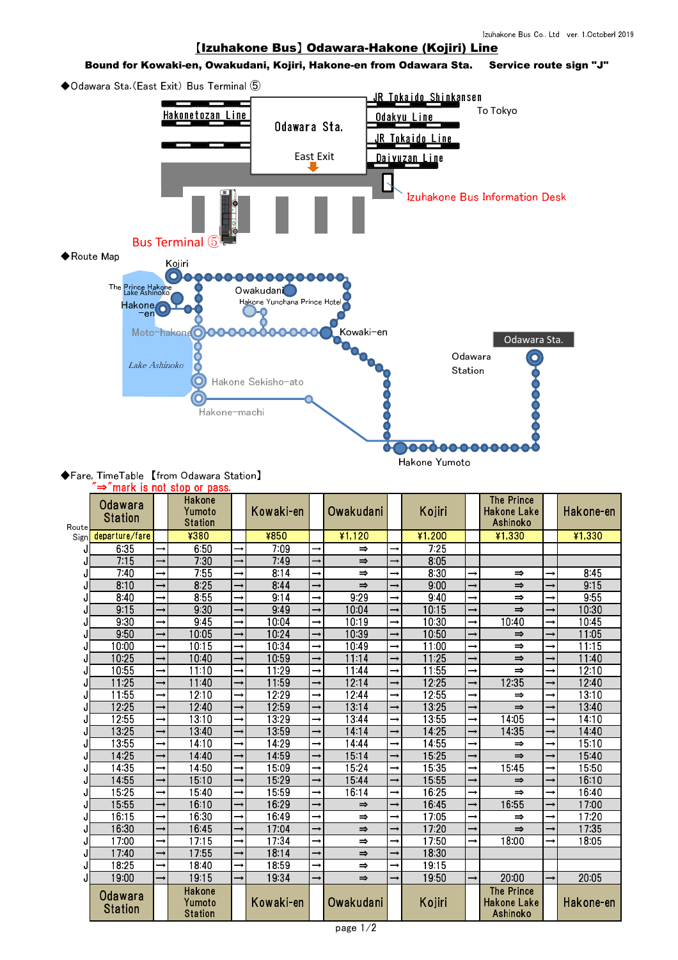## 【Izuhakone Bus】 Odawara-Hakone (Kojiri) Line

## Bound for Kowaki-en, Owakudani, Kojiri, Hakone-en from Odawara Sta. Service route sign "J"

◆Odawara Sta.(East Exit) Bus Terminal ⑤



## ◆Fare, TimeTable 【from Odawara Station】 "⇒"mark is not stop or pass.

|       |                                  |               | <b>THAT IS TIDE STOP OF BUSS.</b>         |               |                  |               |               |          |               |                                              |               |           |
|-------|----------------------------------|---------------|-------------------------------------------|---------------|------------------|---------------|---------------|----------|---------------|----------------------------------------------|---------------|-----------|
| Route | <b>Odawara</b><br><b>Station</b> |               | <b>Hakone</b><br>Yumoto<br><b>Station</b> |               | <b>Kowaki-en</b> | Owakudani     |               | Kojiri   |               | <b>The Prince</b><br>Hakone Lake<br>Ashinoko |               | Hakone-en |
| Sign  | departure/fare                   |               | ¥380                                      |               | ¥850             | $*1,120$      |               | $*1,200$ |               | $*1,330$                                     |               | $*1,330$  |
| J     | 635                              |               | 650                                       |               | 709              | $\Rightarrow$ |               | 725      |               |                                              |               |           |
|       | 715                              |               | 730                                       |               | 749              | $\Rightarrow$ | $\rightarrow$ | 8 0 5    |               |                                              |               |           |
|       | 740                              |               | 755                                       |               | 8 1 4            | $\Rightarrow$ | $\rightarrow$ | 830      |               | $\Rightarrow$                                |               | 845       |
|       | 810                              |               | 825                                       |               | 844              | $\Rightarrow$ | $\rightarrow$ | 900      |               | $\Rightarrow$                                | $\rightarrow$ | 915       |
| J     | 840                              |               | 855                                       |               | 914              | 929           | $\rightarrow$ | 940      |               | $\Rightarrow$                                | $\rightarrow$ | 955       |
|       | 915                              |               | 930                                       |               | 949              | 1004          | $\rightarrow$ | 10.15    |               | $\Rightarrow$                                | $\rightarrow$ | 10 30     |
|       | 930                              |               | 945                                       | →             | 10.04            | 1019          | $\rightarrow$ | 10.30    |               | 1040                                         | $\rightarrow$ | 1045      |
| J     | 950                              |               | 10 05                                     |               | 1024             | 1039          | $\rightarrow$ | 1050     |               | $\Rightarrow$                                | $\rightarrow$ | 11 05     |
| J     | 1000                             |               | 1015                                      |               | 1034             | 1049          |               | 11:00    |               | $\Rightarrow$                                |               | 1115      |
|       | 1025                             |               | 1040                                      |               | 1059             | 11.14         | $\rightarrow$ | 1125     |               | $\Rightarrow$                                | $\rightarrow$ | 1140      |
|       | 1055                             | $\rightarrow$ | 1110                                      | $\rightarrow$ | 1129             | 1144          | $\rightarrow$ | 1155     | →             | $\Rightarrow$                                | $\rightarrow$ | 12.10     |
| J     | 1125                             |               | 1140                                      |               | 1159             | 1214          | $\rightarrow$ | 12 25    |               | 1235                                         | $\rightarrow$ | 12 40     |
| J     | 1155                             |               | 12.10                                     | $\rightarrow$ | 1229             | 1244          | $\rightarrow$ | 1255     |               | $\Rightarrow$                                | $\rightarrow$ | 1310      |
| J     | 1225                             |               | 1240                                      |               | 1259             | 13 14         | $\rightarrow$ | 13 25    |               | $\Rightarrow$                                |               | 13 4 0    |
| J     | 1255                             | $\rightarrow$ | 1310                                      | $\rightarrow$ | 1329             | 1344          | $\rightarrow$ | 1355     |               | 14 05                                        | $\rightarrow$ | 14 10     |
|       | 1325                             |               | 1340                                      |               | 1359             | 14 14         | $\rightarrow$ | 14 25    |               | 14 35                                        | $\rightarrow$ | 14 40     |
| J     | 1355                             |               | 14 10                                     | $\rightarrow$ | 1429             | 1444          | $\rightarrow$ | 14 55    |               | $\Rightarrow$                                | $\rightarrow$ | 15 10     |
|       | 14 25                            |               | 14 40                                     |               | 1459             | 15 14         | $\rightarrow$ | 15 25    |               | $\Rightarrow$                                |               | 1540      |
|       | 14 35                            | $\rightarrow$ | 14.50                                     | $\rightarrow$ | 1509             | 1524          | $\rightarrow$ | 1535     |               | 1545                                         | $\rightarrow$ | 1550      |
|       | 1455                             |               | 15 10                                     |               | 1529             | 1544          | $\rightarrow$ | 1555     |               | $\Rightarrow$                                |               | 16 10     |
| J     | 1525                             |               | 1540                                      | $\rightarrow$ | 1559             | 16 14         | $\rightarrow$ | 1625     |               | $\Rightarrow$                                | $\rightarrow$ | 1640      |
| J     | 1555                             |               | 16 10                                     |               | 1629             | $\Rightarrow$ | $\rightarrow$ | 1645     |               | 1655                                         | $\rightarrow$ | 1700      |
| J     | 16 15                            |               | 1630                                      | $\rightarrow$ | 1649             | $\Rightarrow$ | $\rightarrow$ | 1705     |               | $\Rightarrow$                                | $\rightarrow$ | 1720      |
| J     | 1630                             |               | 1645                                      | $\rightarrow$ | 1704             | $\Rightarrow$ | $\rightarrow$ | 1720     |               | $\Rightarrow$                                | $\rightarrow$ | 1735      |
|       | 1700                             |               | 1715                                      | $\rightarrow$ | 1734             | $\Rightarrow$ | $\rightarrow$ | 1750     | $\rightarrow$ | 1800                                         | $\rightarrow$ | 18 05     |
| J     | 1740                             |               | 1755                                      |               | 18 14            | $\Rightarrow$ |               | 18 30    |               |                                              |               |           |
| J     | 1825                             |               | 1840                                      | $\rightarrow$ | 1859             | $\Rightarrow$ | $\rightarrow$ | 19 15    |               |                                              |               |           |
| J     | 1900                             |               | 19 15                                     |               | 1934             | $\Rightarrow$ | $\rightarrow$ | 1950     |               | 2000                                         |               | 20 05     |
|       | <b>Odawara</b><br><b>Station</b> |               | <b>Hakone</b><br>Yumoto<br><b>Station</b> |               | Kowaki-en        | Owakudani     |               | Kojiri   |               | <b>The Prince</b><br>Hakone Lake<br>Ashinoko |               | Hakone-en |